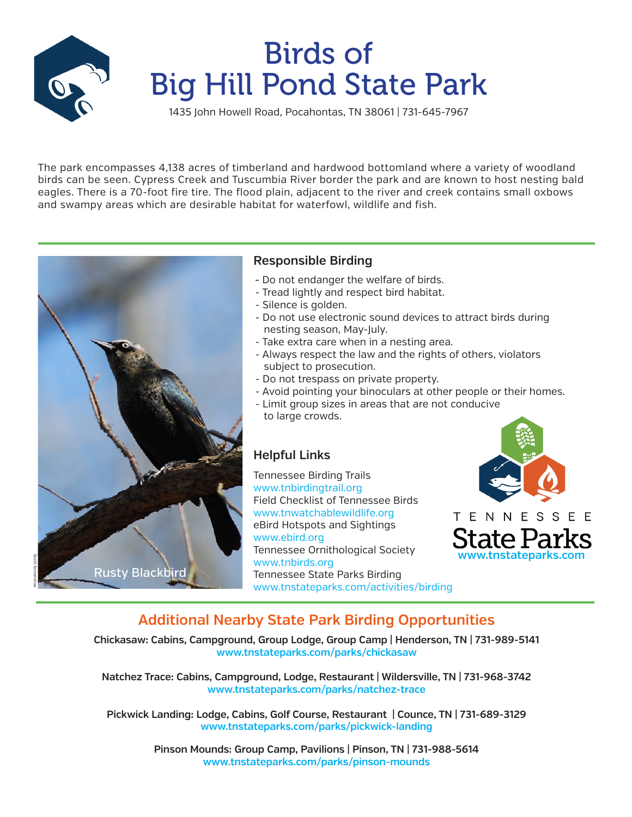

# Birds of Big Hill Pond State Park

1435 John Howell Road, Pocahontas, TN 38061 | 731-645-7967

The park encompasses 4,138 acres of timberland and hardwood bottomland where a variety of woodland birds can be seen. Cypress Creek and Tuscumbia River border the park and are known to host nesting bald eagles. There is a 70-foot fire tire. The flood plain, adjacent to the river and creek contains small oxbows and swampy areas which are desirable habitat for waterfowl, wildlife and fish.



### **Responsible Birding**

- Do not endanger the welfare of birds.
- Tread lightly and respect bird habitat.
- Silence is golden.
- Do not use electronic sound devices to attract birds during nesting season, May-July.
- Take extra care when in a nesting area.
- Always respect the law and the rights of others, violators subject to prosecution.
- Do not trespass on private property.
- Avoid pointing your binoculars at other people or their homes.
- Limit group sizes in areas that are not conducive to large crowds.

### **Helpful Links**

Tennessee Birding Trails www.tnbirdingtrail.org Field Checklist of Tennessee Birds www.tnwatchablewildlife.org eBird Hotspots and Sightings www.ebird.org Tennessee Ornithological Society www.tnbirds.org Tennessee State Parks Birding www.tnstateparks.com/activities/birding



### **Additional Nearby State Park Birding Opportunities**

**Chickasaw: Cabins, Campground, Group Lodge, Group Camp | Henderson, TN | 731-989-5141 www.tnstateparks.com/parks/chickasaw** 

**Natchez Trace: Cabins, Campground, Lodge, Restaurant | Wildersville, TN | 731-968-3742 www.tnstateparks.com/parks/natchez-trace** 

**Pickwick Landing: Lodge, Cabins, Golf Course, Restaurant | Counce, TN | 731-689-3129 www.tnstateparks.com/parks/pickwick-landing** 

> **Pinson Mounds: Group Camp, Pavilions | Pinson, TN | 731-988-5614 www.tnstateparks.com/parks/pinson-mounds**